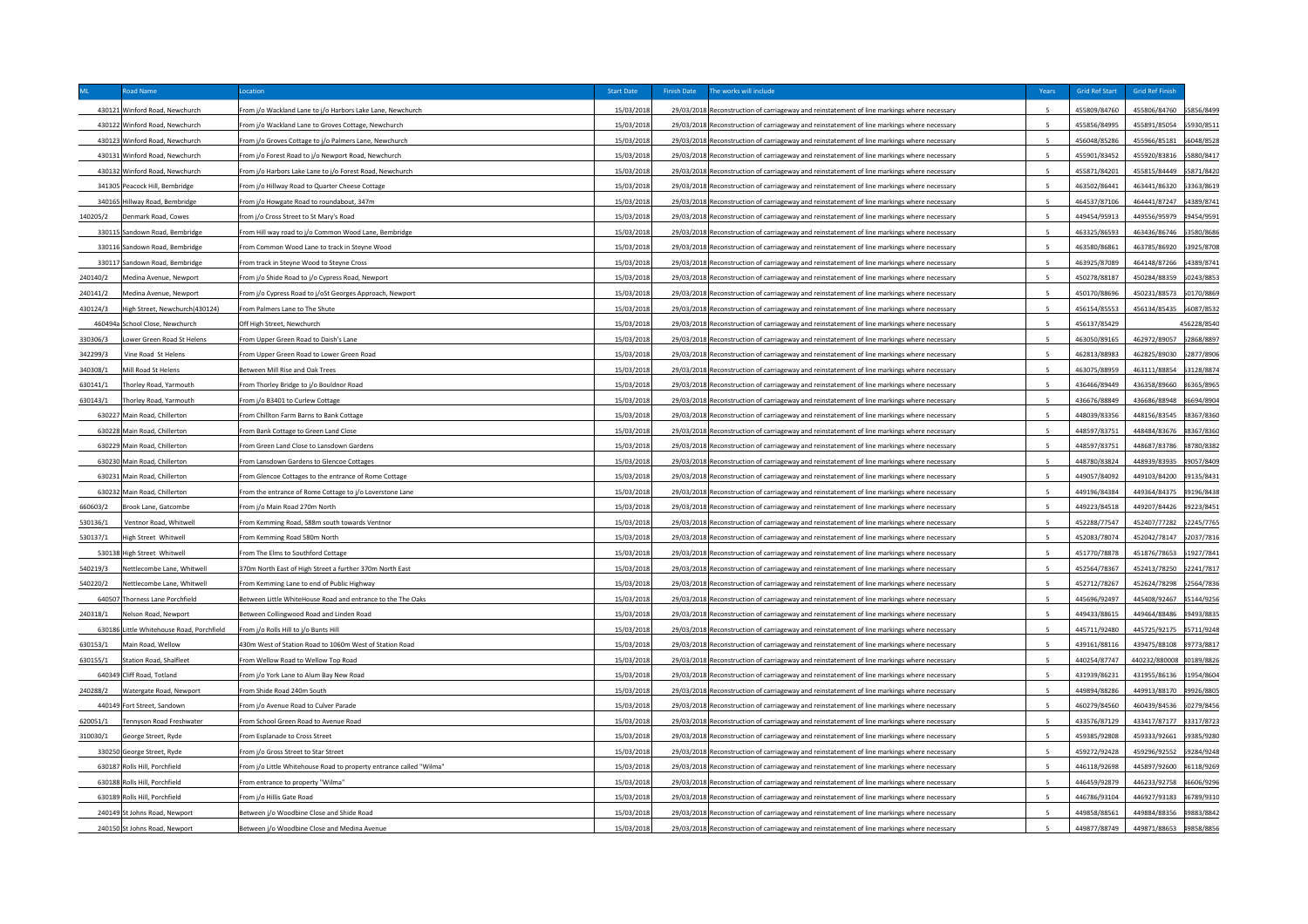|          | Road Name                                 | Location                                                                                        | <b>Start Date</b> | <b>Finish Date</b><br>The works will include                                                                                                                                               | Years                    | Grid Ref Start | <b>Grid Ref Finish</b>   |             |
|----------|-------------------------------------------|-------------------------------------------------------------------------------------------------|-------------------|--------------------------------------------------------------------------------------------------------------------------------------------------------------------------------------------|--------------------------|----------------|--------------------------|-------------|
|          | 430121 Winford Road, Newchurch            | rom j/o Wackland Lane to j/o Harbors Lake Lane, Newchurch                                       | 15/03/2018        | 29/03/2018 Reconstruction of carriageway and reinstatement of line markings where necessary                                                                                                |                          | 455809/84760   | 455806/84760             | 5856/8499   |
|          | 430122 Winford Road, Newchurch            | From j/o Wackland Lane to Groves Cottage, Newchurch                                             | 15/03/2018        | 29/03/2018 Reconstruction of carriageway and reinstatement of line markings where necessary                                                                                                | $\overline{\phantom{a}}$ | 455856/84995   | 455891/85054             | 55930/8511  |
|          | 430123 Winford Road, Newchurch            | From j/o Groves Cottage to j/o Palmers Lane, Newchurch                                          | 15/03/2018        | 29/03/2018 Reconstruction of carriageway and reinstatement of line markings where necessary                                                                                                | $\overline{a}$           | 456048/85286   | 455966/85181             | 56048/8528  |
|          | 430131 Winford Road, Newchurch            | From j/o Forest Road to j/o Newport Road, Newchurch                                             | 15/03/2018        | 29/03/2018 Reconstruction of carriageway and reinstatement of line markings where necessary                                                                                                | $\overline{\phantom{a}}$ | 455901/83452   | 455920/83816             | 55880/8417  |
|          | 430132 Winford Road, Newchurch            | From j/o Harbors Lake Lane to j/o Forest Road, Newchurch                                        | 15/03/2018        | 29/03/2018 Reconstruction of carriageway and reinstatement of line markings where necessary                                                                                                | -5                       | 455871/84201   | 455815/84449             | 5871/8420   |
| 341305   | Peacock Hill, Bembridge                   | From j/o Hillway Road to Quarter Cheese Cottage                                                 | 15/03/2018        | 29/03/2018 Reconstruction of carriageway and reinstatement of line markings where necessary                                                                                                | $\overline{\phantom{a}}$ | 463502/86441   | 463441/86320             | 3363/8619   |
| 340165   | Iillway Road, Bembridge                   | rom j/o Howgate Road to roundabout, 347m                                                        | 15/03/2018        | 29/03/2018 Reconstruction of carriageway and reinstatement of line markings where necessary                                                                                                |                          | 464537/87106   | 464441/87247             | 54389/874   |
| 140205/2 | enmark Road, Cowes                        | from j/o Cross Street to St Mary's Road                                                         | 15/03/2018        | 29/03/2018 Reconstruction of carriageway and reinstatement of line markings where necessary                                                                                                |                          | 449454/95913   | 449556/95979             | 19454/9591  |
|          | 330115 Sandown Road, Bembridge            | From Hill way road to i/o Common Wood Lane. Bembridge                                           | 15/03/2018        | 29/03/2018 Reconstruction of carriageway and reinstatement of line markings where necessary                                                                                                | $\overline{5}$           | 463325/86593   | 463436/86746             | 33580/8686  |
|          | 330116 Sandown Road, Bembridge            | From Common Wood Lane to track in Stevne Wood                                                   | 15/03/2018        | 29/03/2018 Reconstruction of carriageway and reinstatement of line markings where necessary                                                                                                |                          | 463580/86861   | 463785/86920             | 53925/8708  |
|          | 330117 Sandown Road, Bembridge            | From track in Stevne Wood to Stevne Cross                                                       | 15/03/2018        | 29/03/2018 Reconstruction of carriageway and reinstatement of line markings where necessary                                                                                                |                          | 463925/87089   | 464148/87266             | 54389/8741  |
| 240140/2 | Medina Avenue, Newport                    | From j/o Shide Road to j/o Cypress Road, Newport                                                | 15/03/2018        | 29/03/2018 Reconstruction of carriageway and reinstatement of line markings where necessary                                                                                                |                          | 450278/88187   | 450284/88359 50243/8853  |             |
| 240141/2 | Medina Avenue, Newport                    | From j/o Cypress Road to j/oSt Georges Approach, Newport                                        | 15/03/2018        | 29/03/2018 Reconstruction of carriageway and reinstatement of line markings where necessary                                                                                                | $\overline{5}$           | 450170/88696   | 450231/88573 50170/8869  |             |
| 430124/3 | High Street, Newchurch(430124)            | From Palmers Lane to The Shute                                                                  | 15/03/2018        | 29/03/2018 Reconstruction of carriageway and reinstatement of line markings where necessary                                                                                                |                          | 456154/85553   | 456134/85435 56087/8532  |             |
|          | 460494a School Close, Newchurch           | Off High Street, Newchurch                                                                      | 15/03/2018        | 29/03/2018 Reconstruction of carriageway and reinstatement of line markings where necessary                                                                                                |                          | 456137/85429   |                          | 456228/8540 |
| 330306/3 | ower Green Road St Helens                 | From Upper Green Road to Daish's Lane                                                           | 15/03/2018        | 29/03/2018 Reconstruction of carriageway and reinstatement of line markings where necessary                                                                                                | -5                       | 463050/89165   | 462972/89057 52868/8897  |             |
| 342299/3 | Vine Road, St Helens                      | From Upper Green Road to Lower Green Road                                                       | 15/03/2018        | 29/03/2018 Reconstruction of carriageway and reinstatement of line markings where necessary                                                                                                | $\overline{\phantom{a}}$ | 462813/88983   | 462825/89030 52877/8906  |             |
| 340308/1 | Mill Road St Helens                       | Between Mill Rise and Oak Trees                                                                 | 15/03/2018        | 29/03/2018 Reconstruction of carriageway and reinstatement of line markings where necessary                                                                                                | -5                       | 463075/88959   | 463111/88854             | 53128/8874  |
| 630141/1 | horley Road, Yarmouth                     | From Thorley Bridge to j/o Bouldnor Road                                                        | 15/03/2018        | 29/03/2018 Reconstruction of carriageway and reinstatement of line markings where necessary                                                                                                |                          | 436466/89449   | 436358/89660 86365/8965  |             |
| 630143/1 | horley Road, Yarmouth                     | From j/o B3401 to Curlew Cottage                                                                | 15/03/2018        | 29/03/2018 Reconstruction of carriageway and reinstatement of line markings where necessary                                                                                                | $\overline{5}$           | 436676/88849   | 436686/88948 86694/8904  |             |
|          | 630227 Main Road, Chillerton              | From Chillton Farm Barns to Bank Cottage                                                        | 15/03/2018        | 29/03/2018 Reconstruction of carriageway and reinstatement of line markings where necessary                                                                                                |                          | 448039/83356   | 448156/83545 48367/8360  |             |
|          | 630228 Main Road, Chillerton              | From Bank Cottage to Green Land Close                                                           | 15/03/2018        | 29/03/2018 Reconstruction of carriageway and reinstatement of line markings where necessary                                                                                                | 5                        | 448597/83751   | 448484/83676             | 18367/8360  |
|          | 630229 Main Road, Chillerton              | From Green Land Close to Lansdown Gardens                                                       | 15/03/2018        | 29/03/2018 Reconstruction of carriageway and reinstatement of line markings where necessary                                                                                                |                          | 448597/83751   | 448687/83786             | 18780/8382  |
|          | 630230 Main Road, Chillerton              | From Lansdown Gardens to Glencoe Cottages                                                       | 15/03/2018        | 29/03/2018 Reconstruction of carriageway and reinstatement of line markings where necessary                                                                                                | $\overline{5}$           | 448780/83824   | 448939/83935             | 19057/8409  |
|          | 630231 Main Road, Chillerton              | From Glencoe Cottages to the entrance of Rome Cottage                                           | 15/03/2018        | 29/03/2018 Reconstruction of carriageway and reinstatement of line markings where necessary                                                                                                |                          | 449057/84092   | 449103/84200             | 19135/8431  |
|          | 630232 Main Road, Chillerton              | From the entrance of Rome Cottage to i/o Loverstone Lane                                        | 15/03/2018        | 29/03/2018 Reconstruction of carriageway and reinstatement of line markings where necessary                                                                                                | -5                       | 449196/84384   | 449364/84375             | 19196/8438  |
| 660603/2 | rook Lane, Gatcombe                       | From i/o Main Road 270m North                                                                   | 15/03/2018        | 29/03/2018 Reconstruction of carriageway and reinstatement of line markings where necessary                                                                                                | $\overline{5}$           | 449223/84518   | 449207/84426             | 19223/8451  |
| 530136/1 | Ventnor Road, Whitwell                    | From Kemming Road, 588m south towards Ventnor                                                   | 15/03/2018        | 29/03/2018 Reconstruction of carriageway and reinstatement of line markings where necessary                                                                                                |                          | 452288/77547   | 452407/77282             | 2245/7765   |
| 530137/1 | ligh Street Whitwell                      | From Kemming Road 580m North                                                                    | 15/03/2018        | 29/03/2018 Reconstruction of carriageway and reinstatement of line markings where necessary                                                                                                | $\overline{a}$           | 452083/78074   | 452042/78147             | 2037/7816   |
|          | 530138 High Street Whitwell               | From The Elms to Southford Cottage                                                              | 15/03/2018        | 29/03/2018 Reconstruction of carriageway and reinstatement of line markings where necessary                                                                                                | $\overline{5}$           | 451770/78878   | 451876/78653             | 1927/784:   |
| 540219/3 | Nettlecombe Lane, Whitwel                 | 370m North East of High Street a further 370m North East                                        | 15/03/2018        | 29/03/2018 Reconstruction of carriageway and reinstatement of line markings where necessary                                                                                                |                          | 452564/78367   | 452413/78250             | 52241/7817  |
| 540220/2 | Nettlecombe Lane, Whitwell                | From Kemming Lane to end of Public Highway                                                      | 15/03/2018        | 29/03/2018 Reconstruction of carriageway and reinstatement of line markings where necessary                                                                                                |                          | 452712/78267   | 452624/78298             | 2564/7836   |
|          | 640507 Thorness Lane Porchfield           | Between Little WhiteHouse Road and entrance to the The Oaks                                     | 15/03/2018        | 29/03/2018 Reconstruction of carriageway and reinstatement of line markings where necessary                                                                                                | $\overline{5}$           | 445696/92497   | 445408/92467             | 15144/9256  |
| 240318/1 | Nelson Road, Newport                      | Between Collingwood Road and Linden Road                                                        | 15/03/2018        | 29/03/2018 Reconstruction of carriageway and reinstatement of line markings where necessary                                                                                                | 5                        | 449433/88615   | 449464/88486             | 19493/8835  |
|          | 630186 Little Whitehouse Road, Porchfield |                                                                                                 | 15/03/2018        |                                                                                                                                                                                            |                          | 445711/92480   | 445725/92175             |             |
| 630153/1 | Main Road, Wellow                         | rom j/o Rolls Hill to j/o Bunts Hill<br>130m West of Station Road to 1060m West of Station Road | 15/03/2018        | 29/03/2018 Reconstruction of carriageway and reinstatement of line markings where necessary                                                                                                |                          | 439161/88116   | 439475/88108 89773/8817  | 15711/9248  |
| 630155/1 | Station Road, Shalfleet                   | rom Wellow Road to Wellow Top Road                                                              | 15/03/2018        | 29/03/2018 Reconstruction of carriageway and reinstatement of line markings where necessary                                                                                                | $\overline{5}$           | 440254/87747   | 440232/880008 40189/8826 |             |
|          | 640349 Cliff Road, Totland                |                                                                                                 | 15/03/2018        | 29/03/2018 Reconstruction of carriageway and reinstatement of line markings where necessary<br>29/03/2018 Reconstruction of carriageway and reinstatement of line markings where necessary | -5                       | 431939/86231   | 431955/86136 81954/8604  |             |
|          |                                           | rom j/o York Lane to Alum Bay New Road                                                          |                   |                                                                                                                                                                                            | $\overline{5}$           |                |                          |             |
| 240288/2 | Vatergate Road, Newport                   | From Shide Road 240m South                                                                      | 15/03/2018        | 29/03/2018 Reconstruction of carriageway and reinstatement of line markings where necessary                                                                                                |                          | 449894/88286   | 449913/88170 49926/8805  |             |
|          | 440149 Fort Street, Sandown               | From j/o Avenue Road to Culver Parade                                                           | 15/03/2018        | 29/03/2018 Reconstruction of carriageway and reinstatement of line markings where necessary                                                                                                |                          | 460279/84560   | 460439/84536             | 60279/8456  |
| 620051/1 | ennyson Road Freshwater                   | From School Green Road to Avenue Road                                                           | 15/03/2018        | 29/03/2018 Reconstruction of carriageway and reinstatement of line markings where necessary                                                                                                | -5                       | 433576/87129   | 433417/87177 83317/8723  |             |
| 310030/1 | George Street, Ryde                       | From Esplanade to Cross Street                                                                  | 15/03/2018        | 29/03/2018 Reconstruction of carriageway and reinstatement of line markings where necessary                                                                                                | 5                        | 459385/92808   | 459333/92661             | 59385/9280  |
|          | 330250 George Street, Ryde                | From j/o Gross Street to Star Street                                                            | 15/03/2018        | 29/03/2018 Reconstruction of carriageway and reinstatement of line markings where necessary                                                                                                |                          | 459272/92428   | 459296/92552             | 59284/9248  |
|          | 630187 Rolls Hill, Porchfield             | "rom j/o Little Whitehouse Road to property entrance called "Wilma"                             | 15/03/2018        | 29/03/2018 Reconstruction of carriageway and reinstatement of line markings where necessary                                                                                                |                          | 446118/92698   | 445897/92600 46118/9269  |             |
|          | 630188 Rolls Hill, Porchfield             | "rom entrance to property "Wilma"                                                               | 15/03/2018        | 29/03/2018 Reconstruction of carriageway and reinstatement of line markings where necessary                                                                                                |                          | 446459/92879   | 446233/92758             | 16606/9296  |
|          | 630189 Rolls Hill, Porchfield             | From i/o Hillis Gate Road                                                                       | 15/03/2018        | 29/03/2018 Reconstruction of carriageway and reinstatement of line markings where necessary                                                                                                |                          | 446786/93104   | 446927/93183             | 16789/9310  |
|          | 240149 St Johns Road, Newport             | Between j/o Woodbine Close and Shide Road                                                       | 15/03/2018        | 29/03/2018 Reconstruction of carriageway and reinstatement of line markings where necessary                                                                                                | $\overline{\phantom{a}}$ | 449858/88561   | 449884/88356             | 19883/8842  |
|          | 240150 St Johns Road, Newport             | Between j/o Woodbine Close and Medina Avenue                                                    | 15/03/2018        | 29/03/2018 Reconstruction of carriageway and reinstatement of line markings where necessary                                                                                                | $\overline{\phantom{a}}$ | 449877/88749   | 449871/88653             | 19858/8856  |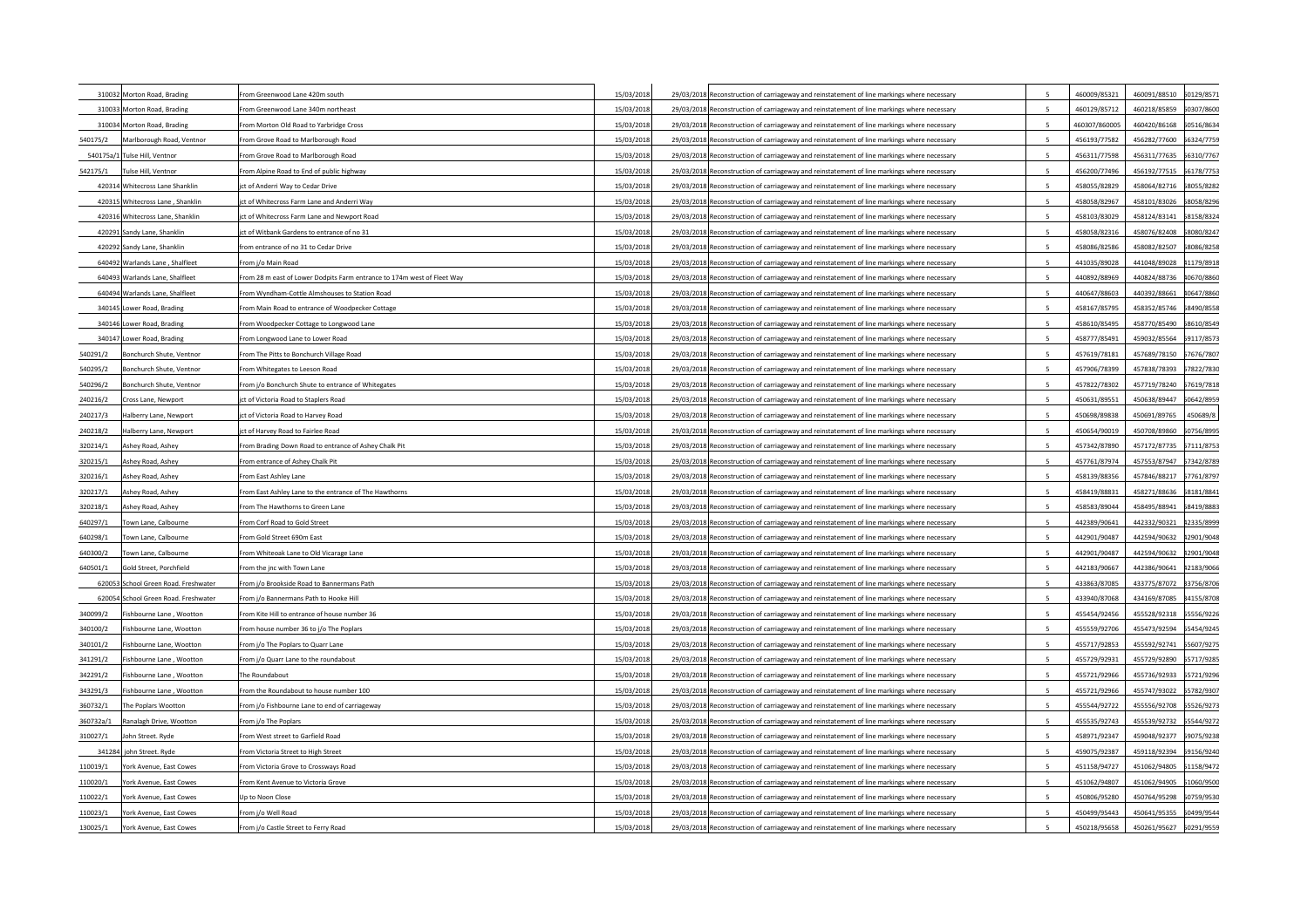| 310032 Morton Road, Brading           | From Greenwood Lane 420m south                                          | 15/03/2018 | 29/03/2018 Reconstruction of carriageway and reinstatement of line markings where necessary |                          | 460009/85321  | 460091/88510            | 60129/8571  |
|---------------------------------------|-------------------------------------------------------------------------|------------|---------------------------------------------------------------------------------------------|--------------------------|---------------|-------------------------|-------------|
| 310033 Morton Road, Brading           | From Greenwood Lane 340m northeast                                      | 15/03/2018 | 29/03/2018 Reconstruction of carriageway and reinstatement of line markings where necessary |                          | 460129/85712  | 460218/85859            | 50307/8600  |
| 310034 Morton Road, Brading           | From Morton Old Road to Yarbridge Cross                                 | 15/03/2018 | 29/03/2018 Reconstruction of carriageway and reinstatement of line markings where necessary |                          | 460307/860005 | 460420/86168            | 60516/8634  |
| 540175/2<br>Marlborough Road, Ventnor | From Grove Road to Marlborough Road                                     | 15/03/2018 | 29/03/2018 Reconstruction of carriageway and reinstatement of line markings where necessary | 5                        | 456193/77582  | 456282/77600            | 6324/7759   |
| 540175a/1 Tulse Hill, Ventnor         | From Grove Road to Marlborough Road                                     | 15/03/2018 | 29/03/2018 Reconstruction of carriageway and reinstatement of line markings where necessary | $\overline{\phantom{a}}$ | 456311/77598  | 456311/77635            | 6310/7767   |
| 542175/1<br>Tulse Hill, Ventnor       | From Alpine Road to End of public highway                               | 15/03/2018 | 29/03/2018 Reconstruction of carriageway and reinstatement of line markings where necessary | 5                        | 456200/77496  | 456192/77515            | 6178/7753   |
| 420314 Whitecross Lane Shanklin       | ct of Anderri Way to Cedar Drive                                        | 15/03/2018 | 29/03/2018 Reconstruction of carriageway and reinstatement of line markings where necessary | 5                        | 458055/82829  | 458064/82716            | 68055/8282  |
| 420315 Whitecross Lane, Shanklin      | ict of Whitecross Farm Lane and Anderri Way                             | 15/03/2018 | 29/03/2018 Reconstruction of carriageway and reinstatement of line markings where necessary | 5                        | 458058/82967  | 458101/83026            | 68058/8296  |
| 420316 Whitecross Lane, Shanklin      | ict of Whitecross Farm Lane and Newport Road                            | 15/03/201  | 29/03/2018 Reconstruction of carriageway and reinstatement of line markings where necessary | 5                        | 458103/83029  | 458124/83141            | \$8158/8324 |
| 420291 Sandy Lane, Shanklin           | ct of Witbank Gardens to entrance of no 31                              | 15/03/2018 | 29/03/2018 Reconstruction of carriageway and reinstatement of line markings where necessary | 5                        | 458058/82316  | 458076/82408            | 8080/824    |
| 420292 Sandy Lane, Shanklin           | from entrance of no 31 to Cedar Drive                                   | 15/03/2018 | 29/03/2018 Reconstruction of carriageway and reinstatement of line markings where necessary | $\overline{\phantom{a}}$ | 458086/82586  | 458082/82507            | 68086/8258  |
| 640492 Warlands Lane, Shalfleet       | From i/o Main Road                                                      | 15/03/2018 | 29/03/2018 Reconstruction of carriageway and reinstatement of line markings where necessary | 5                        | 441035/89028  | 441048/89028            | 11179/8918  |
| 640493 Warlands Lane, Shalfleet       | From 28 m east of Lower Dodpits Farm entrance to 174m west of Fleet Way | 15/03/201  | 29/03/2018 Reconstruction of carriageway and reinstatement of line markings where necessary | 5                        | 440892/88969  | 440824/88736            | 10670/8860  |
| 640494 Warlands Lane, Shalfleet       | From Wyndham-Cottle Almshouses to Station Road                          | 15/03/2018 | 29/03/2018 Reconstruction of carriageway and reinstatement of line markings where necessary | 5                        | 440647/88603  | 440392/88661            | 10647/8860  |
| 340145 Lower Road, Brading            | From Main Road to entrance of Woodpecker Cottage                        | 15/03/2018 | 29/03/2018 Reconstruction of carriageway and reinstatement of line markings where necessary | 5                        | 458167/85795  | 458352/85746            | 68490/8558  |
| 340146 Lower Road, Brading            | From Woodpecker Cottage to Longwood Lane                                | 15/03/2018 | 29/03/2018 Reconstruction of carriageway and reinstatement of line markings where necessary | 5                        | 458610/85495  | 458770/85490            | 58610/8549  |
| 340147 Lower Road, Brading            | From Longwood Lane to Lower Road                                        | 15/03/2018 | 29/03/2018 Reconstruction of carriageway and reinstatement of line markings where necessary | 5                        | 458777/85491  | 459032/85564            | 59117/8573  |
| Bonchurch Shute, Ventnor<br>540291/2  | From The Pitts to Bonchurch Village Road                                | 15/03/2018 | 29/03/2018 Reconstruction of carriageway and reinstatement of line markings where necessary | 5                        | 457619/78181  | 457689/78150            | 57676/7807  |
| 540295/2<br>Bonchurch Shute, Ventnor  | From Whitegates to Leeson Road                                          | 15/03/2018 | 29/03/2018 Reconstruction of carriageway and reinstatement of line markings where necessary | 5                        | 457906/78399  | 457838/78393            | 57822/7830  |
| 540296/2<br>Bonchurch Shute, Ventnor  | From j/o Bonchurch Shute to entrance of Whitegates                      | 15/03/2018 | 29/03/2018 Reconstruction of carriageway and reinstatement of line markings where necessary | -5                       | 457822/78302  | 457719/78240            | 57619/7818  |
| 240216/2<br>Cross Lane, Newport       | ct of Victoria Road to Staplers Road                                    | 15/03/2018 | 29/03/2018 Reconstruction of carriageway and reinstatement of line markings where necessary | 5                        | 450631/89551  | 450638/89447            | 50642/8959  |
| 240217/3<br>Halberry Lane, Newport    | ct of Victoria Road to Harvey Road                                      | 15/03/2018 | 29/03/2018 Reconstruction of carriageway and reinstatement of line markings where necessary | -5                       | 450698/89838  | 450691/89765            | 450689/8    |
| 240218/2<br>Halberry Lane, Newport    | ict of Harvey Road to Fairlee Road                                      | 15/03/2018 | 29/03/2018 Reconstruction of carriageway and reinstatement of line markings where necessary | 5                        | 450654/90019  | 450708/89860            | 60756/8995  |
| 320214/1<br>Ashey Road, Ashey         | From Brading Down Road to entrance of Ashey Chalk Pit                   | 15/03/2018 | 29/03/2018 Reconstruction of carriageway and reinstatement of line markings where necessary |                          | 457342/87890  | 457172/87735            | 57111/8753  |
| 320215/1<br>Ashey Road, Ashey         | From entrance of Ashey Chalk Pit                                        | 15/03/2018 | 29/03/2018 Reconstruction of carriageway and reinstatement of line markings where necessary | 5                        | 457761/87974  | 457553/87947            | 57342/8789  |
| 320216/1<br>Ashev Road, Ashev         | From East Ashley Lane                                                   | 15/03/2018 | 29/03/2018 Reconstruction of carriageway and reinstatement of line markings where necessary | 5                        | 458139/88356  | 457846/88217            | 57761/8797  |
| 320217/1<br>Ashey Road, Ashey         | From East Ashley Lane to the entrance of The Hawthorns                  | 15/03/2018 | 29/03/2018 Reconstruction of carriageway and reinstatement of line markings where necessary |                          | 458419/88831  | 458271/88636            | 58181/8841  |
| 320218/1<br>Ashev Road, Ashev         | From The Hawthorns to Green Lane                                        | 15/03/2018 | 29/03/2018 Reconstruction of carriageway and reinstatement of line markings where necessary | 5                        | 458583/89044  | 458495/88941            | 58419/8883  |
| 640297/1<br>Town Lane, Calbourne      | From Corf Road to Gold Street                                           | 15/03/2018 | 29/03/2018 Reconstruction of carriageway and reinstatement of line markings where necessary | 5                        | 442389/90641  | 442332/90321            | 12335/8999  |
| 640298/1<br>Fown Lane, Calbourne      | From Gold Street 690m East                                              | 15/03/201  | 29/03/2018 Reconstruction of carriageway and reinstatement of line markings where necessary | 5                        | 442901/90487  | 442594/90632            | 12901/9048  |
| 640300/2<br>Fown Lane, Calbourne      | From Whiteoak Lane to Old Vicarage Lane                                 | 15/03/201  | 29/03/2018 Reconstruction of carriageway and reinstatement of line markings where necessary | $\overline{5}$           | 442901/90487  | 442594/90632            | 12901/9048  |
| 640501/1<br>Gold Street, Porchfield   | From the jnc with Town Lane                                             | 15/03/201  | 29/03/2018 Reconstruction of carriageway and reinstatement of line markings where necessary | $\overline{\phantom{a}}$ | 442183/90667  | 442386/90641            | 12183/9066  |
| 620053 School Green Road. Freshwater  | From i/o Brookside Road to Bannermans Path                              | 15/03/201  | 29/03/2018 Reconstruction of carriageway and reinstatement of line markings where necessary |                          | 433863/87085  | 433775/87072            | 33756/8706  |
| 620054 School Green Road. Freshwater  | From j/o Bannermans Path to Hooke Hill                                  | 15/03/201  | 29/03/2018 Reconstruction of carriageway and reinstatement of line markings where necessary | 5                        | 433940/87068  | 434169/87085            | 34155/8708  |
| 340099/2<br>Fishbourne Lane, Wootton  | From Kite Hill to entrance of house number 36                           | 15/03/2018 | 29/03/2018 Reconstruction of carriageway and reinstatement of line markings where necessary | 5                        | 455454/92456  | 455528/92318            | 5556/9226   |
| 340100/2<br>Fishbourne Lane, Wootton  | From house number 36 to j/o The Poplars                                 | 15/03/2018 | 29/03/2018 Reconstruction of carriageway and reinstatement of line markings where necessary | 5                        | 455559/92706  | 455473/92594            | 55454/9245  |
| 340101/2<br>Fishbourne Lane, Wootton  | From i/o The Poplars to Quarr Lane                                      | 15/03/2018 | 29/03/2018 Reconstruction of carriageway and reinstatement of line markings where necessary |                          | 455717/92853  | 455592/92741            | 5607/9275   |
| 341291/2<br>Fishbourne Lane, Wootton  | From i/o Quarr Lane to the roundabout                                   | 15/03/201  | 29/03/2018 Reconstruction of carriageway and reinstatement of line markings where necessary | 5                        | 455729/92931  | 455729/92890            | 5717/9285   |
| 342291/2<br>Fishbourne Lane, Wootton  | he Roundabout                                                           | 15/03/2018 | 29/03/2018 Reconstruction of carriageway and reinstatement of line markings where necessary | 5                        | 455721/92966  | 455736/92933            | 5721/9296   |
| 343291/3<br>Fishbourne Lane, Wootton  | From the Roundabout to house number 100                                 | 15/03/2018 | 29/03/2018 Reconstruction of carriageway and reinstatement of line markings where necessary | 5                        | 455721/92966  | 455747/93022            | 55782/9307  |
| 360732/1<br>The Poplars Woottor       | From j/o Fishbourne Lane to end of carriageway                          | 15/03/2018 | 29/03/2018 Reconstruction of carriageway and reinstatement of line markings where necessary |                          | 455544/92722  | 455556/92708            | 5526/9273   |
| 360732a/1<br>Ranalagh Drive, Wootton  | From j/o The Poplars                                                    | 15/03/2018 | 29/03/2018 Reconstruction of carriageway and reinstatement of line markings where necessary | $\overline{5}$           | 455535/92743  | 455539/92732            | 5544/9272   |
| 310027/1<br>John Street. Ryde         | From West street to Garfield Road                                       | 15/03/2018 | 29/03/2018 Reconstruction of carriageway and reinstatement of line markings where necessary | -5                       | 458971/92347  | 459048/92377 59075/9238 |             |
| 341284 john Street, Ryde              | From Victoria Street to High Street                                     | 15/03/2018 | 29/03/2018 Reconstruction of carriageway and reinstatement of line markings where necessary | $\overline{5}$           | 459075/92387  | 459118/92394            | 59156/9240  |
| York Avenue, East Cowes<br>110019/1   | From Victoria Grove to Crossways Road                                   | 15/03/2018 | 29/03/2018 Reconstruction of carriageway and reinstatement of line markings where necessary |                          | 451158/94727  | 451062/94805 51158/9472 |             |
| 110020/1<br>York Avenue, East Cowes   | From Kent Avenue to Victoria Grove                                      | 15/03/2018 | 29/03/2018 Reconstruction of carriageway and reinstatement of line markings where necessary | 5                        | 451062/94807  | 451062/94905            | 51060/9500  |
| 110022/1<br>York Avenue, East Cowes   | Up to Noon Close                                                        | 15/03/2018 | 29/03/2018 Reconstruction of carriageway and reinstatement of line markings where necessary |                          | 450806/95280  | 450764/95298            | 60759/9530  |
| 110023/1<br>York Avenue, East Cowes   | From j/o Well Road                                                      | 15/03/2018 | 29/03/2018 Reconstruction of carriageway and reinstatement of line markings where necessary |                          | 450499/95443  | 450641/95355            | 60499/9544  |
| 130025/1<br>York Avenue, East Cowes   | From j/o Castle Street to Ferry Road                                    | 15/03/2018 | 29/03/2018 Reconstruction of carriageway and reinstatement of line markings where necessary | $\overline{5}$           | 450218/95658  | 450261/95627            | 60291/9559  |
|                                       |                                                                         |            |                                                                                             |                          |               |                         |             |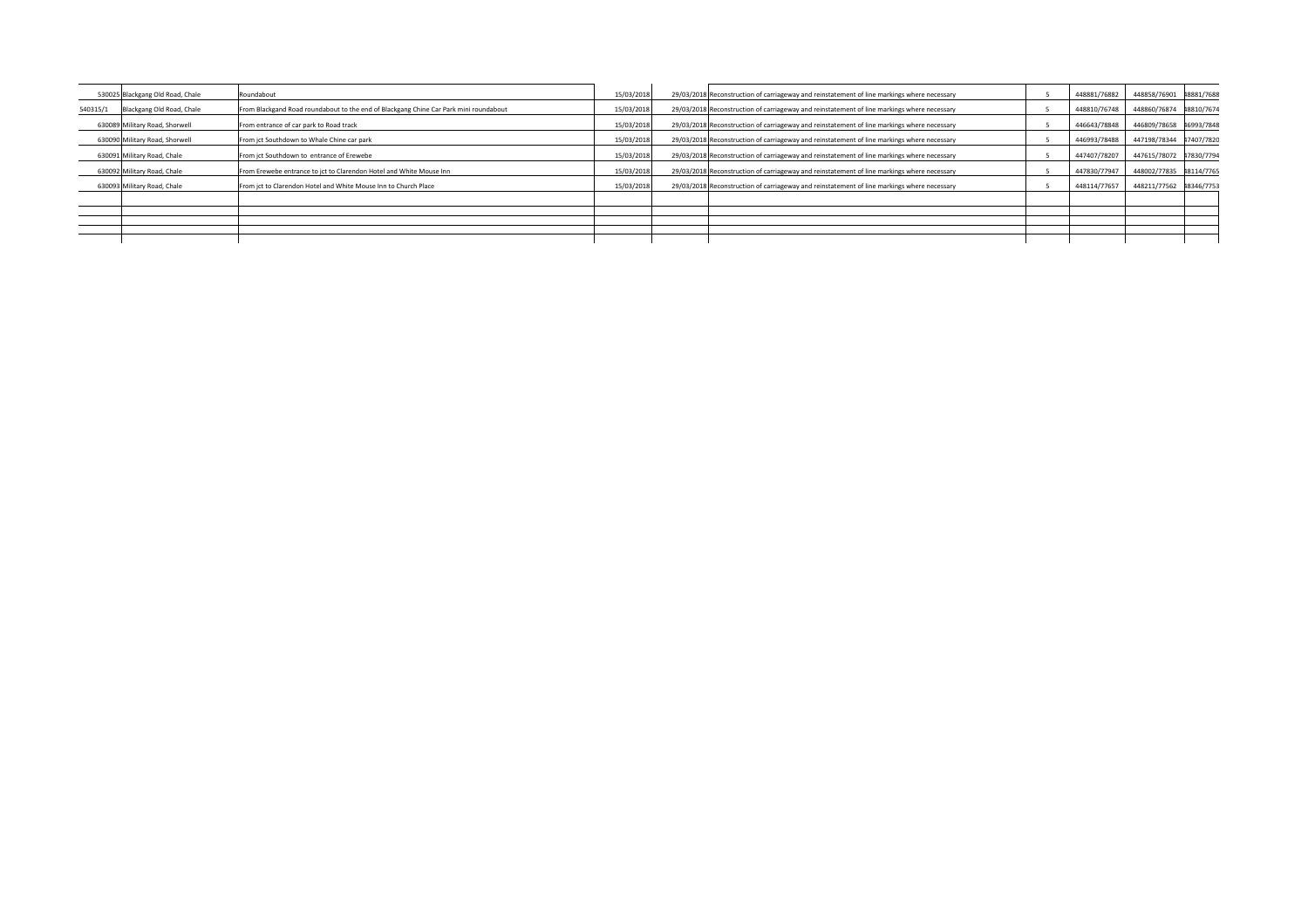|          | 530025 Blackgang Old Road, Chale | Roundabout                                                                            | 15/03/2018 | 29/03/2018 Reconstruction of carriageway and reinstatement of line markings where necessary | 448881/76882 | 448858/76901 48881/7688 |            |
|----------|----------------------------------|---------------------------------------------------------------------------------------|------------|---------------------------------------------------------------------------------------------|--------------|-------------------------|------------|
| 540315/1 | Blackgang Old Road, Chale        | From Blackgand Road roundabout to the end of Blackgang Chine Car Park mini roundabout | 15/03/2018 | 29/03/2018 Reconstruction of carriageway and reinstatement of line markings where necessary | 448810/76748 | 448860/76874            | 18810/7674 |
|          | 630089 Military Road, Shorwell   | From entrance of car park to Road track                                               | 15/03/2018 | 29/03/2018 Reconstruction of carriageway and reinstatement of line markings where necessary | 446643/78848 | 446809/78658            | 16993/7848 |
|          | 630090 Military Road, Shorwell   | From jct Southdown to Whale Chine car park                                            | 15/03/2018 | 29/03/2018 Reconstruction of carriageway and reinstatement of line markings where necessary | 446993/78488 | 447198/78344            | 17407/7820 |
|          | 630091 Military Road, Chale      | From jct Southdown to entrance of Erewebe                                             | 15/03/2018 | 29/03/2018 Reconstruction of carriageway and reinstatement of line markings where necessary | 447407/78207 | 447615/78072            | 17830/7794 |
|          | 630092 Military Road, Chale      | From Erewebe entrance to jct to Clarendon Hotel and White Mouse Inn                   | 15/03/2018 | 29/03/2018 Reconstruction of carriageway and reinstatement of line markings where necessary | 447830/77947 | 448002/77835            | 18114/7765 |
|          | 630093 Military Road, Chale      | From ict to Clarendon Hotel and White Mouse Inn to Church Place                       | 15/03/2018 | 29/03/2018 Reconstruction of carriageway and reinstatement of line markings where necessary | 448114/77657 | 448211/77562            | 18346/7753 |
|          |                                  |                                                                                       |            |                                                                                             |              |                         |            |
|          |                                  |                                                                                       |            |                                                                                             |              |                         |            |
|          |                                  |                                                                                       |            |                                                                                             |              |                         |            |
|          |                                  |                                                                                       |            |                                                                                             |              |                         |            |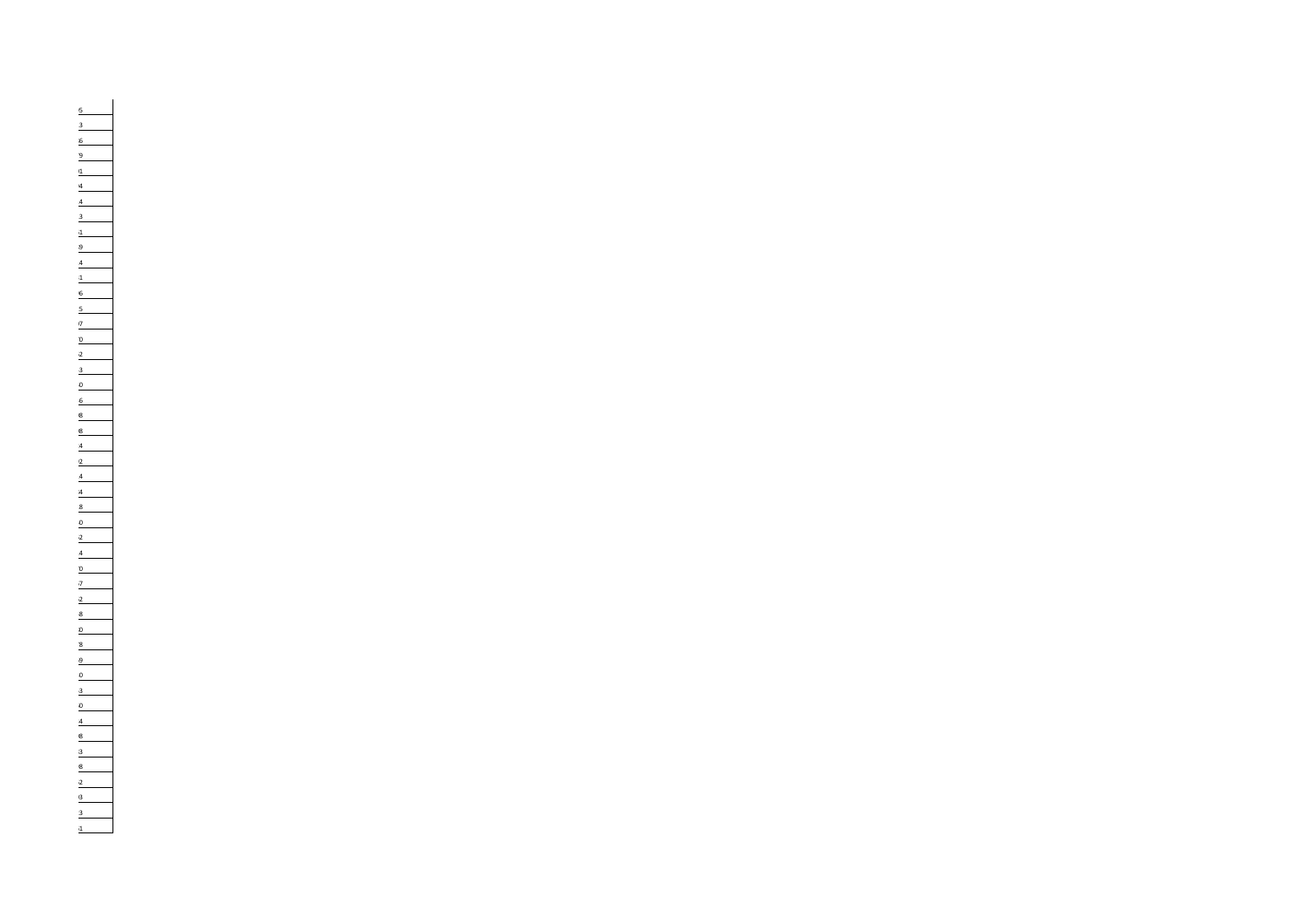455856/84995 455930/85113 456048/85286 455880/84179 455871/84201 463363/86194 464389/87414 449454/95913 463580/86861 463925/87089 464389/87414 450243/88531 450170/88696 456087/85325 456228/85407 462868/88970 462877/89062 463128/88743 436365/89650 436694/89046 448367/83608 448367/83608 448780/83824 449057/84092 449135/84314 449196/84384 449223/84518 452245/77650 452037/78162 451927/78414 452241/78170 452564/78367 445144/92562 449493/88358 445711/92480 439773/88178 440189/88269 431954/86040 449926/88053 460279/84560 433317/87234 459385/92808 459284/92483 446118/92698 446606/92962 446789/93103 449883/88423 449858/88561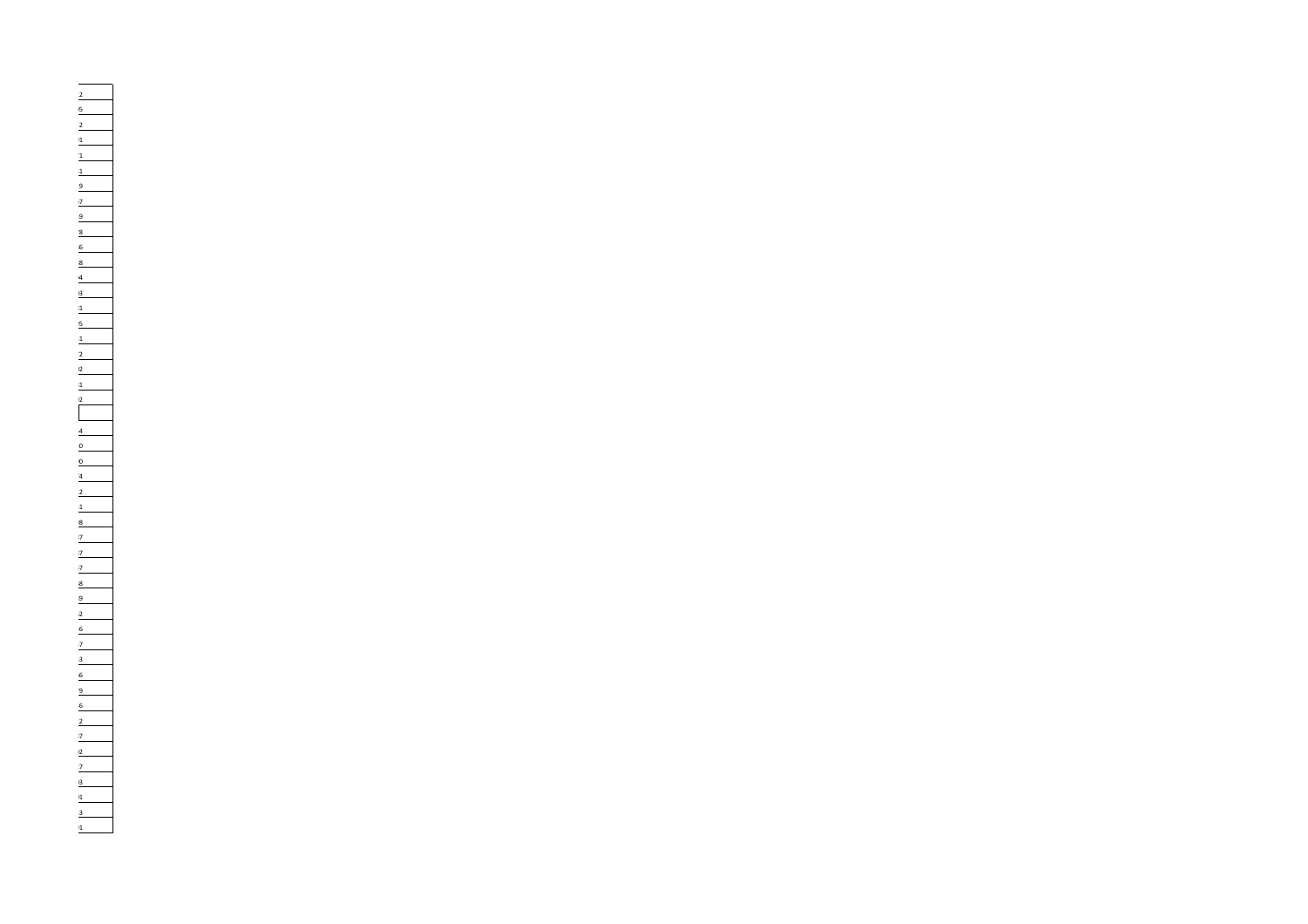460129/85712 460307/86005 460516/86342 456324/77591 456310/77671 456178/77531 458055/82829 458058/82967 458158/83249 458080/82478 458086/82586 441179/89188 440670/88604 440647/88603 458490/85581 458610/85495 459117/85731 457676/78072 457822/78302 457619/78181 450642/89592 450756/89954 457111/87530 457342/87890 457761/87974 458181/88412 458419/88831 442335/89998 442901/90487 442901/90487 442183/90667 433756/87068 434155/87089 455556/92262 455454/92456 455607/92757 455717/92853 455721/92966 455782/93079 455526/92736 455544/92722 459075/92387 459156/92402 451158/94727 451060/95003 450759/95301 450499/95443 450291/95591